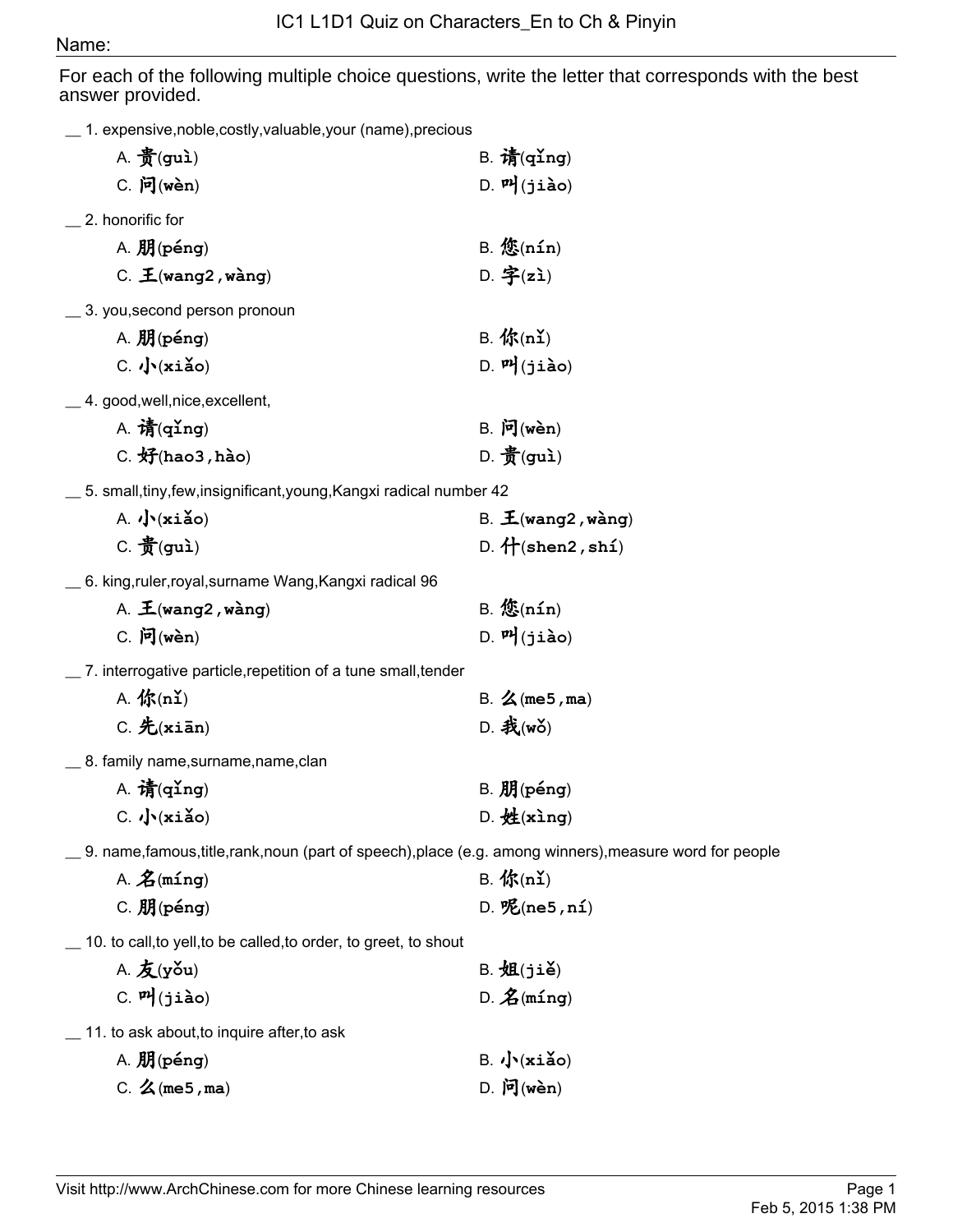## Name:

For each of the following multiple choice questions, write the letter that corresponds with the best answer provided.

|  | 1. expensive, noble, costly, valuable, your (name), precious |  |
|--|--------------------------------------------------------------|--|
|--|--------------------------------------------------------------|--|

| A. $\frac{2}{3}$ (gui)                                                                                   | $B.$ 请(qing)                             |  |  |
|----------------------------------------------------------------------------------------------------------|------------------------------------------|--|--|
| $C.$ 问(wèn)                                                                                              | $D.$ $\mathbf{P}$ $j$ (jiào)             |  |  |
| 2. honorific for                                                                                         |                                          |  |  |
| $A.$ 朋(péng)                                                                                             | $B.$ $\mathfrak{E}(nIn)$                 |  |  |
| $C.$ $\mathbf{\mathbf{\pm}}$ (wang2, wàng)                                                               | D. 字 $(zi)$                              |  |  |
| 3. you, second person pronoun                                                                            |                                          |  |  |
| A. 朋(péng)                                                                                               | $B.$ 你(nǐ)                               |  |  |
| $C.$ $\sqrt{\mathbf{x} i \mathbf{a}}$ o)                                                                 | $D.$ $P$ $($ jiào)                       |  |  |
| _4. good, well, nice, excellent,                                                                         |                                          |  |  |
| A. 清 $(qing)$                                                                                            | $B.$ 问(wèn)                              |  |  |
| $C.$ 好 $(hao3, hao)$                                                                                     | D. $\frac{2}{3}$ (gui)                   |  |  |
| _ 5. small,tiny,few,insignificant,young,Kangxi radical number 42                                         |                                          |  |  |
| $A. \sqrt{\mathbf{x} i \mathbf{a}}$ o)                                                                   | B. $\mathbf{\mathbf{\pm}}$ (wang2, wàng) |  |  |
| $C.$ $\frac{2}{3}$ (gui)                                                                                 | D. $H(shen2, sh1)$                       |  |  |
| 6. king,ruler,royal,surname Wang,Kangxi radical 96                                                       |                                          |  |  |
| A. $\mathbf{\mathbf{\pm}}$ (wang2, wàng)                                                                 | $B.$ 悠 $(nin)$                           |  |  |
| $C.$ 问(wèn)                                                                                              | $D.$ $P$ $($ jiào)                       |  |  |
| 7. interrogative particle, repetition of a tune small, tender                                            |                                          |  |  |
| A. 你 $(n2)$                                                                                              | B. $\angle$ (me5, ma)                    |  |  |
| $C.$ 先(xiān)                                                                                             | $D.$ 我(wǒ)                               |  |  |
| _ 8. family name,surname,name,clan                                                                       |                                          |  |  |
| A. 清 $(q\texttt{ing})$                                                                                   | $B.$ $M(péng)$                           |  |  |
| $C.$ $\sqrt{\cdot}$ (xiǎo)                                                                               | $D.$ 姓(xing)                             |  |  |
| 9. name, famous, title, rank, noun (part of speech), place (e.g. among winners), measure word for people |                                          |  |  |
| A. $\hat{\mathbf{Z}}$ (míng)                                                                             | $B.$ 你 $(nI)$                            |  |  |
| $C.$ 朋(péng)                                                                                             | $D.$ $\mathcal{K}$ (ne5, ní)             |  |  |
| 10. to call, to yell, to be called, to order, to greet, to shout                                         |                                          |  |  |
| A. $\mathbf{\mathcal{L}}(\mathbf{y}$ ǒu)                                                                 | $B. \overline{244(ji\delta)}$            |  |  |
| $C.$ <sup><math>n</math></sup> $(jido)$                                                                  | $D.$ $\mathbf{\hat{Z}}$ (ming)           |  |  |
| 11. to ask about, to inquire after, to ask                                                               |                                          |  |  |
| A. 朋(péng)                                                                                               | $B. \sqrt{\mathbf{x} i \mathbf{a}}$ o)   |  |  |
| C. $\angle$ (me5, ma)                                                                                    | $D.$ 问(wèn)                              |  |  |